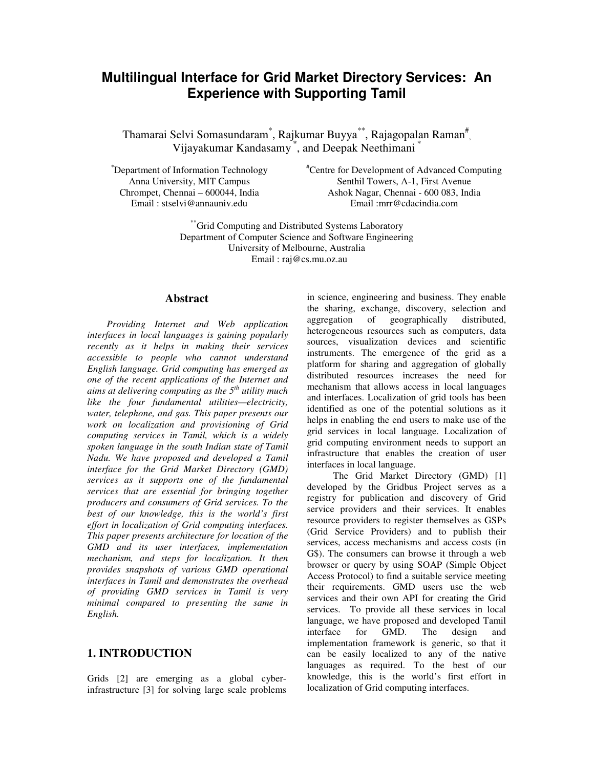# **Multilingual Interface for Grid Market Directory Services: An Experience with Supporting Tamil**

Thamarai Selvi Somasundaram\*, Rajkumar Buyya\*\*, Rajagopalan Raman#, Vijayakumar Kandasamy \*, and Deepak Neethimani \*

\*Department of Information Technology Anna University, MIT Campus Chrompet, Chennai – 600044, India Email : stselvi@annauniv.edu

#Centre for Development of Advanced Computing Senthil Towers, A-1, First Avenue Ashok Nagar, Chennai - 600 083, India Email :mrr@cdacindia.com

\*\*Grid Computing and Distributed Systems Laboratory Department of Computer Science and Software Engineering University of Melbourne, Australia Email : raj@cs.mu.oz.au

#### **Abstract**

*Providing Internet and Web application interfaces in local languages is gaining popularly recently as it helps in making their services accessible to people who cannot understand English language. Grid computing has emerged as one of the recent applications of the Internet and aims at delivering computing as the 5th utility much like the four fundamental utilities—electricity, water, telephone, and gas. This paper presents our work on localization and provisioning of Grid computing services in Tamil, which is a widely spoken language in the south Indian state of Tamil Nadu. We have proposed and developed a Tamil interface for the Grid Market Directory (GMD) services as it supports one of the fundamental services that are essential for bringing together producers and consumers of Grid services. To the best of our knowledge, this is the world's first effort in localization of Grid computing interfaces. This paper presents architecture for location of the GMD and its user interfaces, implementation mechanism, and steps for localization. It then provides snapshots of various GMD operational interfaces in Tamil and demonstrates the overhead of providing GMD services in Tamil is very minimal compared to presenting the same in English.* 

### **1. INTRODUCTION**

Grids [2] are emerging as a global cyberinfrastructure [3] for solving large scale problems in science, engineering and business. They enable the sharing, exchange, discovery, selection and<br>aggregation of geographically distributed, aggregation of geographically distributed, heterogeneous resources such as computers, data sources, visualization devices and scientific instruments. The emergence of the grid as a platform for sharing and aggregation of globally distributed resources increases the need for mechanism that allows access in local languages and interfaces. Localization of grid tools has been identified as one of the potential solutions as it helps in enabling the end users to make use of the grid services in local language. Localization of grid computing environment needs to support an infrastructure that enables the creation of user interfaces in local language.

The Grid Market Directory (GMD) [1] developed by the Gridbus Project serves as a registry for publication and discovery of Grid service providers and their services. It enables resource providers to register themselves as GSPs (Grid Service Providers) and to publish their services, access mechanisms and access costs (in G\$). The consumers can browse it through a web browser or query by using SOAP (Simple Object Access Protocol) to find a suitable service meeting their requirements. GMD users use the web services and their own API for creating the Grid services. To provide all these services in local language, we have proposed and developed Tamil interface for GMD. The design and implementation framework is generic, so that it can be easily localized to any of the native languages as required. To the best of our knowledge, this is the world's first effort in localization of Grid computing interfaces.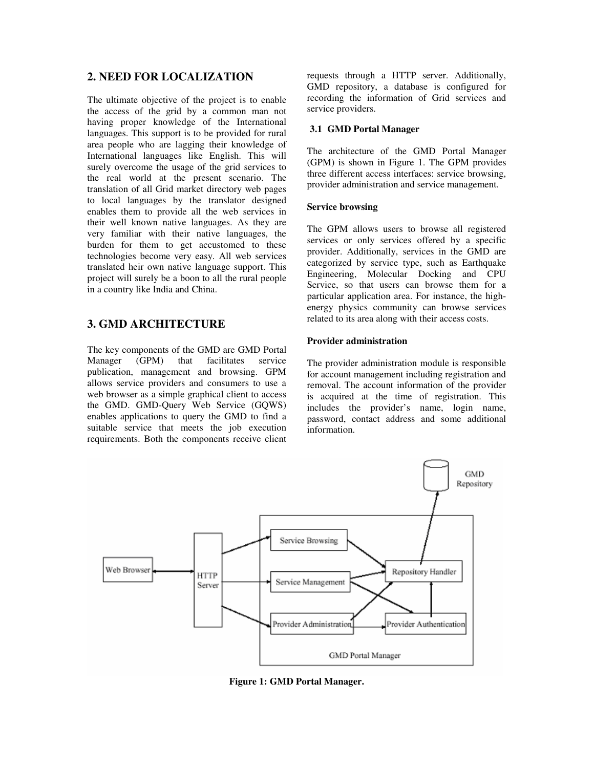### **2. NEED FOR LOCALIZATION**

The ultimate objective of the project is to enable the access of the grid by a common man not having proper knowledge of the International languages. This support is to be provided for rural area people who are lagging their knowledge of International languages like English. This will surely overcome the usage of the grid services to the real world at the present scenario. The translation of all Grid market directory web pages to local languages by the translator designed enables them to provide all the web services in their well known native languages. As they are very familiar with their native languages, the burden for them to get accustomed to these technologies become very easy. All web services translated heir own native language support. This project will surely be a boon to all the rural people in a country like India and China.

### **3. GMD ARCHITECTURE**

The key components of the GMD are GMD Portal Manager (GPM) that facilitates service publication, management and browsing. GPM allows service providers and consumers to use a web browser as a simple graphical client to access the GMD. GMD-Query Web Service (GQWS) enables applications to query the GMD to find a suitable service that meets the job execution requirements. Both the components receive client requests through a HTTP server. Additionally, GMD repository, a database is configured for recording the information of Grid services and service providers.

#### **3.1 GMD Portal Manager**

The architecture of the GMD Portal Manager (GPM) is shown in Figure 1. The GPM provides three different access interfaces: service browsing, provider administration and service management.

#### **Service browsing**

The GPM allows users to browse all registered services or only services offered by a specific provider. Additionally, services in the GMD are categorized by service type, such as Earthquake Engineering, Molecular Docking and CPU Service, so that users can browse them for a particular application area. For instance, the highenergy physics community can browse services related to its area along with their access costs.

#### **Provider administration**

The provider administration module is responsible for account management including registration and removal. The account information of the provider is acquired at the time of registration. This includes the provider's name, login name, password, contact address and some additional information.



**Figure 1: GMD Portal Manager.**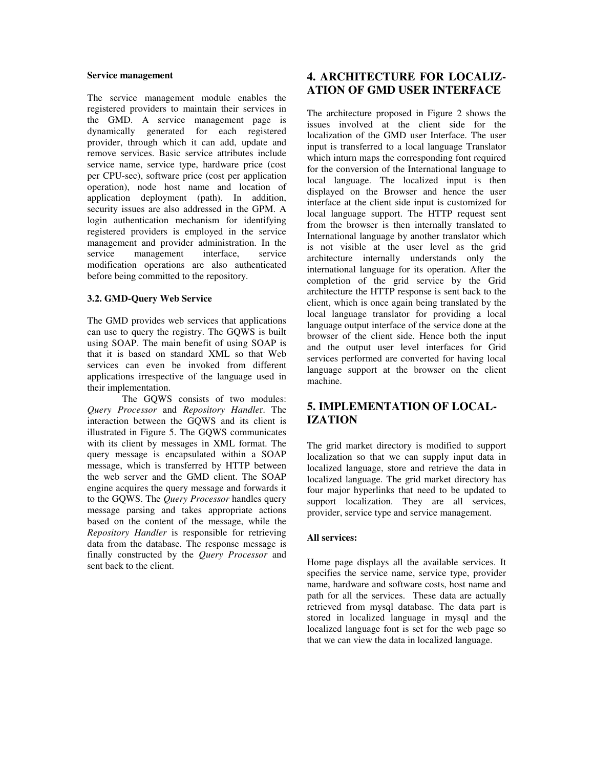#### **Service management**

The service management module enables the registered providers to maintain their services in the GMD. A service management page is dynamically generated for each registered provider, through which it can add, update and remove services. Basic service attributes include service name, service type, hardware price (cost per CPU-sec), software price (cost per application operation), node host name and location of application deployment (path). In addition, security issues are also addressed in the GPM. A login authentication mechanism for identifying registered providers is employed in the service management and provider administration. In the service management interface, service modification operations are also authenticated before being committed to the repository.

#### **3.2. GMD-Query Web Service**

The GMD provides web services that applications can use to query the registry. The GQWS is built using SOAP. The main benefit of using SOAP is that it is based on standard XML so that Web services can even be invoked from different applications irrespective of the language used in their implementation.

The GQWS consists of two modules: *Query Processor* and *Repository Handle*r. The interaction between the GQWS and its client is illustrated in Figure 5. The GQWS communicates with its client by messages in XML format. The query message is encapsulated within a SOAP message, which is transferred by HTTP between the web server and the GMD client. The SOAP engine acquires the query message and forwards it to the GQWS. The *Query Processor* handles query message parsing and takes appropriate actions based on the content of the message, while the *Repository Handler* is responsible for retrieving data from the database. The response message is finally constructed by the *Query Processor* and sent back to the client.

## **4. ARCHITECTURE FOR LOCALIZ-ATION OF GMD USER INTERFACE**

The architecture proposed in Figure 2 shows the issues involved at the client side for the localization of the GMD user Interface. The user input is transferred to a local language Translator which inturn maps the corresponding font required for the conversion of the International language to local language. The localized input is then displayed on the Browser and hence the user interface at the client side input is customized for local language support. The HTTP request sent from the browser is then internally translated to International language by another translator which is not visible at the user level as the grid architecture internally understands only the international language for its operation. After the completion of the grid service by the Grid architecture the HTTP response is sent back to the client, which is once again being translated by the local language translator for providing a local language output interface of the service done at the browser of the client side. Hence both the input and the output user level interfaces for Grid services performed are converted for having local language support at the browser on the client machine.

## **5. IMPLEMENTATION OF LOCAL-IZATION**

The grid market directory is modified to support localization so that we can supply input data in localized language, store and retrieve the data in localized language. The grid market directory has four major hyperlinks that need to be updated to support localization. They are all services, provider, service type and service management.

#### **All services:**

Home page displays all the available services. It specifies the service name, service type, provider name, hardware and software costs, host name and path for all the services. These data are actually retrieved from mysql database. The data part is stored in localized language in mysql and the localized language font is set for the web page so that we can view the data in localized language.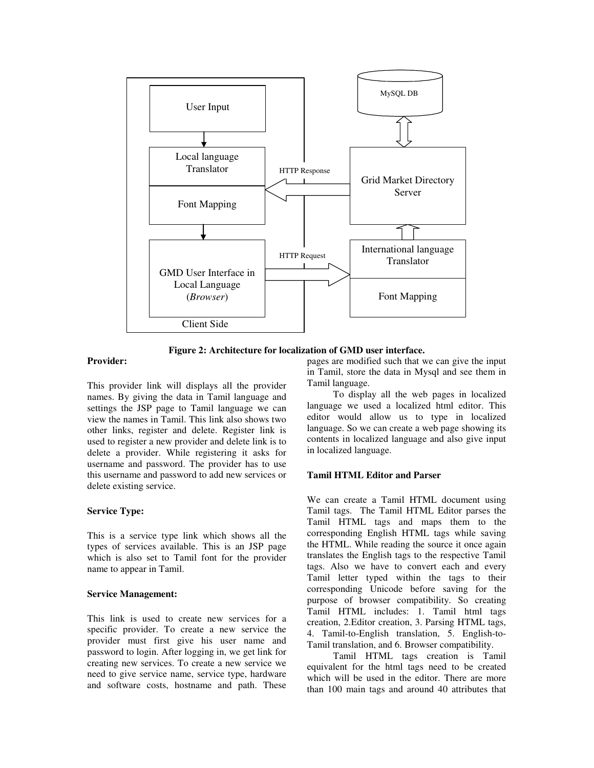

**Figure 2: Architecture for localization of GMD user interface.** 

#### **Provider:**

This provider link will displays all the provider names. By giving the data in Tamil language and settings the JSP page to Tamil language we can view the names in Tamil. This link also shows two other links, register and delete. Register link is used to register a new provider and delete link is to delete a provider. While registering it asks for username and password. The provider has to use this username and password to add new services or delete existing service.

#### **Service Type:**

This is a service type link which shows all the types of services available. This is an JSP page which is also set to Tamil font for the provider name to appear in Tamil.

#### **Service Management:**

This link is used to create new services for a specific provider. To create a new service the provider must first give his user name and password to login. After logging in, we get link for creating new services. To create a new service we need to give service name, service type, hardware and software costs, hostname and path. These pages are modified such that we can give the input in Tamil, store the data in Mysql and see them in Tamil language.

To display all the web pages in localized language we used a localized html editor. This editor would allow us to type in localized language. So we can create a web page showing its contents in localized language and also give input in localized language.

#### **Tamil HTML Editor and Parser**

We can create a Tamil HTML document using Tamil tags. The Tamil HTML Editor parses the Tamil HTML tags and maps them to the corresponding English HTML tags while saving the HTML. While reading the source it once again translates the English tags to the respective Tamil tags. Also we have to convert each and every Tamil letter typed within the tags to their corresponding Unicode before saving for the purpose of browser compatibility. So creating Tamil HTML includes: 1. Tamil html tags creation, 2.Editor creation, 3. Parsing HTML tags, 4. Tamil-to-English translation, 5. English-to-Tamil translation, and 6. Browser compatibility.

Tamil HTML tags creation is Tamil equivalent for the html tags need to be created which will be used in the editor. There are more than 100 main tags and around 40 attributes that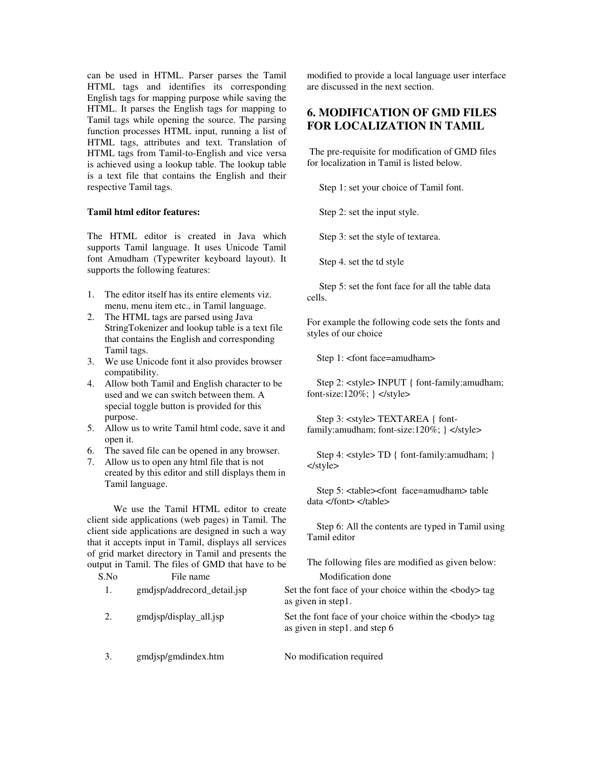can be used in HTML. Parser parses the Tamil HTML tags and identifies its corresponding English tags for mapping purpose while saving the HTML. It parses the English tags for mapping to Tamil tags while opening the source. The parsing function processes HTML input, running a list of HTML tags, attributes and text. Translation of HTML tags from Tamil-to-English and vice versa is achieved using a lookup table. The lookup table is a text file that contains the English and their respective Tamil tags.

#### **Tamil html editor features:**

The HTML editor is created in Java which supports Tamil language. It uses Unicode Tamil font Amudham (Typewriter keyboard layout). It supports the following features:

- 1. The editor itself has its entire elements viz. menu, menu item etc., in Tamil language.
- 2. The HTML tags are parsed using Java StringTokenizer and lookup table is a text file that contains the English and corresponding Tamil tags.
- 3. We use Unicode font it also provides browser compatibility.
- 4. Allow both Tamil and English character to be used and we can switch between them. A special toggle button is provided for this purpose.
- 5. Allow us to write Tamil html code, save it and open it.
- 6. The saved file can be opened in any browser.
- 7. Allow us to open any html file that is not created by this editor and still displays them in Tamil language.

We use the Tamil HTML editor to create client side applications (web pages) in Tamil. The client side applications are designed in such a way that it accepts input in Tamil, displays all services of grid market directory in Tamil and presents the output in Tamil. The files of GMD that have to be

S.No File name Modification done 1. gmdjsp/addrecord\_detail.jsp Set the font face of your choice within the <body> tag as given in step1. 2. gmdjsp/display\_all.jsp Set the font face of your choice within the <body> tag as given in step1. and step 6 3. gmdjsp/gmdindex.htm No modification required

modified to provide a local language user interface are discussed in the next section.

## **6. MODIFICATION OF GMD FILES FOR LOCALIZATION IN TAMIL**

 The pre-requisite for modification of GMD files for localization in Tamil is listed below.

Step 1: set your choice of Tamil font.

Step 2: set the input style.

Step 3: set the style of textarea.

Step 4. set the td style

 Step 5: set the font face for all the table data cells.

For example the following code sets the fonts and styles of our choice

Step 1: <font face=amudham>

Step 2: <style> INPUT { font-family:amudham; font-size:120%;  $\}$  </style>

Step 3: <style> TEXTAREA { fontfamily: amudham; font-size:  $120\%$ ;  $\angle$   $\angle$ style $>$ 

Step 4: <style> TD { font-family: amudham; } </style>

Step 5: <table><font face=amudham> table data </font> </table>

Step 6: All the contents are typed in Tamil using Tamil editor

The following files are modified as given below: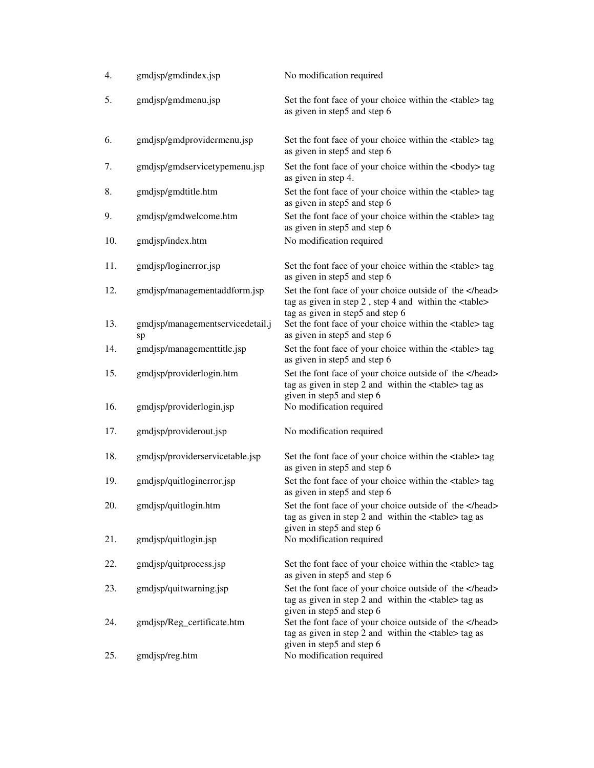| 4.  | gmdjsp/gmdindex.jsp                    | No modification required                                                                                                                              |
|-----|----------------------------------------|-------------------------------------------------------------------------------------------------------------------------------------------------------|
| 5.  | gmdjsp/gmdmenu.jsp                     | Set the font face of your choice within the <table> tag<br/>as given in step5 and step 6</table>                                                      |
| 6.  | gmdjsp/gmdprovidermenu.jsp             | Set the font face of your choice within the <table> tag<br/>as given in step5 and step 6</table>                                                      |
| 7.  | gmdjsp/gmdservicetypemenu.jsp          | Set the font face of your choice within the<br>body> tag<br>as given in step 4.                                                                       |
| 8.  | gmdjsp/gmdtitle.htm                    | Set the font face of your choice within the <table> tag<br/>as given in step5 and step 6</table>                                                      |
| 9.  | gmdjsp/gmdwelcome.htm                  | Set the font face of your choice within the <table> tag<br/>as given in step5 and step 6</table>                                                      |
| 10. | gmdjsp/index.htm                       | No modification required                                                                                                                              |
| 11. | gmdjsp/loginerror.jsp                  | Set the font face of your choice within the <table> tag<br/>as given in step5 and step 6</table>                                                      |
| 12. | gmdjsp/managementaddform.jsp           | Set the font face of your choice outside of the<br>tag as given in step 2, step 4 and within the <table><br/>tag as given in step5 and step 6</table> |
| 13. | gmdjsp/managementservicedetail.j<br>sp | Set the font face of your choice within the <table> tag<br/>as given in step5 and step 6</table>                                                      |
| 14. | gmdjsp/managementtitle.jsp             | Set the font face of your choice within the <table> tag<br/>as given in step5 and step 6</table>                                                      |
| 15. | gmdjsp/providerlogin.htm               | Set the font face of your choice outside of the<br>tag as given in step 2 and within the <table> tag as<br/>given in step5 and step 6</table>         |
| 16. | gmdjsp/providerlogin.jsp               | No modification required                                                                                                                              |
| 17. | gmdjsp/providerout.jsp                 | No modification required                                                                                                                              |
| 18. | gmdjsp/providerservicetable.jsp        | Set the font face of your choice within the <table> tag<br/>as given in step5 and step 6</table>                                                      |
| 19. | gmdjsp/quitloginerror.jsp              | Set the font face of your choice within the <table> tag<br/>as given in step5 and step 6</table>                                                      |
| 20. | gmdjsp/quitlogin.htm                   | Set the font face of your choice outside of the<br>tag as given in step 2 and within the <table> tag as<br/>given in step5 and step 6</table>         |
| 21. | gmdjsp/quitlogin.jsp                   | No modification required                                                                                                                              |
| 22. | gmdjsp/quitprocess.jsp                 | Set the font face of your choice within the <table> tag<br/>as given in step5 and step 6</table>                                                      |
| 23. | gmdjsp/quitwarning.jsp                 | Set the font face of your choice outside of the<br>tag as given in step 2 and within the <table> tag as<br/>given in step5 and step 6</table>         |
| 24. | gmdjsp/Reg_certificate.htm             | Set the font face of your choice outside of the<br>tag as given in step 2 and within the <table> tag as<br/>given in step5 and step 6</table>         |
| 25. | gmdjsp/reg.htm                         | No modification required                                                                                                                              |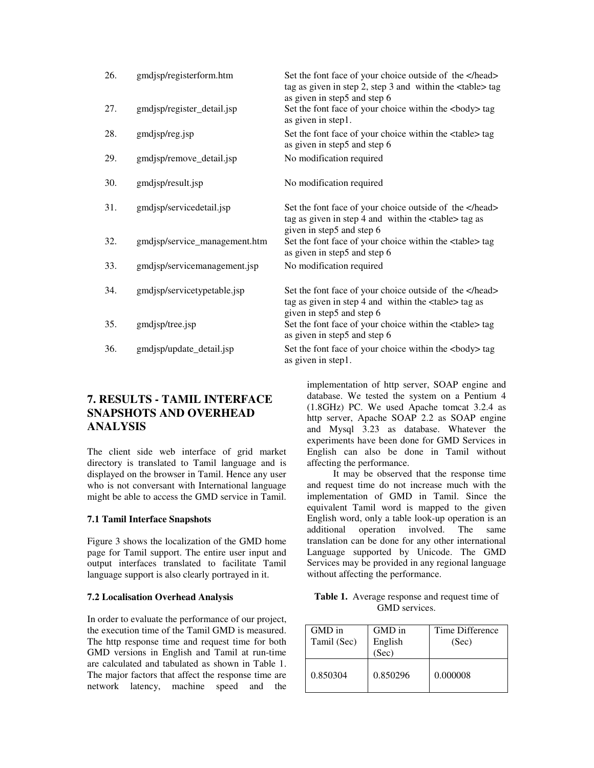| 26. | gmdjsp/registerform.htm       | Set the font face of your choice outside of the<br>tag as given in step 2, step 3 and within the $\lt$ table $>$ tag<br>as given in step5 and step 6 |
|-----|-------------------------------|------------------------------------------------------------------------------------------------------------------------------------------------------|
| 27. | gmdjsp/register_detail.jsp    | Set the font face of your choice within the<br>body> tag<br>as given in step1.                                                                       |
| 28. | gmdjsp/reg.jsp                | Set the font face of your choice within the <table> tag<br/>as given in step5 and step 6</table>                                                     |
| 29. | gmdjsp/remove_detail.jsp      | No modification required                                                                                                                             |
| 30. | gmdjsp/result.jsp             | No modification required                                                                                                                             |
| 31. | gmdjsp/servicedetail.jsp      | Set the font face of your choice outside of the<br>tag as given in step 4 and within the <table>tag as<br/>given in step5 and step 6</table>         |
| 32. | gmdjsp/service_management.htm | Set the font face of your choice within the <table>tag<br/>as given in step5 and step 6</table>                                                      |
| 33. | gmdjsp/servicemanagement.jsp  | No modification required                                                                                                                             |
| 34. | gmdjsp/servicetypetable.jsp   | Set the font face of your choice outside of the<br>tag as given in step 4 and within the <table>tag as<br/>given in step5 and step 6</table>         |
| 35. | gmdjsp/tree.jsp               | Set the font face of your choice within the <table> tag<br/>as given in step5 and step 6</table>                                                     |
| 36. | gmdjsp/update_detail.jsp      | Set the font face of your choice within the<br>body> tag<br>as given in step1.                                                                       |

## **7. RESULTS - TAMIL INTERFACE SNAPSHOTS AND OVERHEAD ANALYSIS**

The client side web interface of grid market directory is translated to Tamil language and is displayed on the browser in Tamil. Hence any user who is not conversant with International language might be able to access the GMD service in Tamil.

#### **7.1 Tamil Interface Snapshots**

Figure 3 shows the localization of the GMD home page for Tamil support. The entire user input and output interfaces translated to facilitate Tamil language support is also clearly portrayed in it.

#### **7.2 Localisation Overhead Analysis**

In order to evaluate the performance of our project, the execution time of the Tamil GMD is measured. The http response time and request time for both GMD versions in English and Tamil at run-time are calculated and tabulated as shown in Table 1. The major factors that affect the response time are network latency, machine speed and the implementation of http server, SOAP engine and database. We tested the system on a Pentium 4 (1.8GHz) PC. We used Apache tomcat 3.2.4 as http server, Apache SOAP 2.2 as SOAP engine and Mysql 3.23 as database. Whatever the experiments have been done for GMD Services in English can also be done in Tamil without affecting the performance.

It may be observed that the response time and request time do not increase much with the implementation of GMD in Tamil. Since the equivalent Tamil word is mapped to the given English word, only a table look-up operation is an additional operation involved. The same translation can be done for any other international Language supported by Unicode. The GMD Services may be provided in any regional language without affecting the performance.

| Table 1. Average response and request time of |
|-----------------------------------------------|
| GMD services.                                 |

| GMD in<br>Tamil (Sec) | GMD in<br>English<br>(Sec) | Time Difference<br>(Sec) |
|-----------------------|----------------------------|--------------------------|
| 0.850304              | 0.850296                   | 0.000008                 |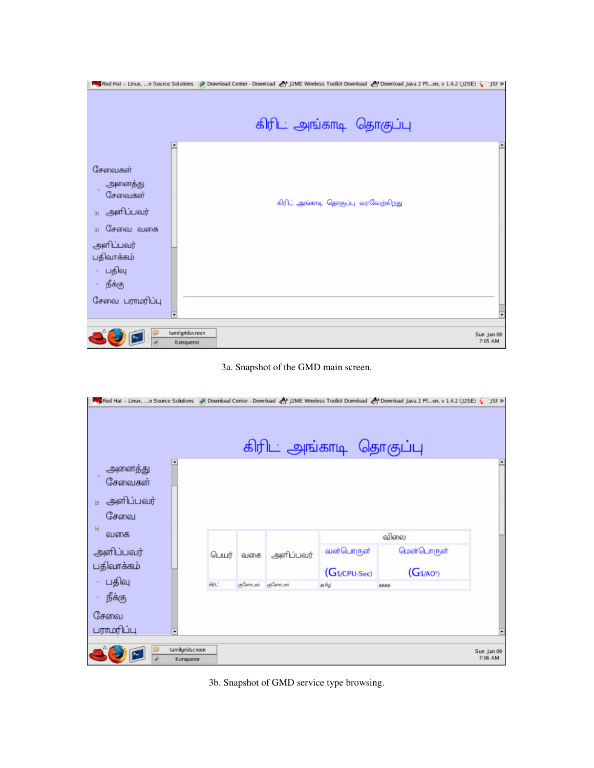|                                                                                                                                             | JSF >> JSF >> JSF >> JSF >> JSF >> JSF >> JSF >> JSF >> JSF + J2ME Wireless Toolkit Download < Y Download Java 2 Plon, v 1.4.2 (J2SE) : JSF >> |  |
|---------------------------------------------------------------------------------------------------------------------------------------------|------------------------------------------------------------------------------------------------------------------------------------------------|--|
|                                                                                                                                             | கிரிட் அங்காடி தொகுப்பு                                                                                                                        |  |
| ۸<br>சேவைகள்<br>அனைத்து<br>சேவைகள்<br>அளிப்பவர்<br>田<br>சேவை வகை<br>田<br>அளிப்பவர்<br>பதிவாக்கம்<br>பதிவு<br>நீக்கு<br>சேவை பராமரிப்பு<br>¥ | கிரிட் அங்காடி தொகுப்பு வரவேற்கிறது                                                                                                            |  |
| tamilgridscreen<br>Konqueror                                                                                                                | Sun Jan 09<br>7:05 AM                                                                                                                          |  |



| JSF > J2SE) (Download Lava 2 Plon, v 1.4.2 (J2SE) (J3F > J3F > J2ME Wireless Toolkit Download (My Download Java 2 Plon, v 1.4.2 (J2SE) |       |                           |           | கிரிட அங்காடி தொகுப்பு |             |                       |
|----------------------------------------------------------------------------------------------------------------------------------------|-------|---------------------------|-----------|------------------------|-------------|-----------------------|
| ٠<br>அனைத்து<br>சேவைகள்<br>அளிப்பவர்<br>$\qquad \qquad \boxplus$<br>சேவை                                                               |       |                           |           |                        |             |                       |
| 田<br>வகை                                                                                                                               |       |                           |           |                        | விலை        |                       |
| அளிப்பவர்                                                                                                                              | டெயர் | வகை                       | அளிப்பவர் | வன்பொருள்              | மென்பொருள்  |                       |
| பதிவாக்கம்                                                                                                                             |       |                           |           | (Gs/CPU-Sec)           | $(Gs/AO^*)$ |                       |
| பதிவு                                                                                                                                  | கிட்  | (a)GennLieri (a)GennLieri |           | கமிம்                  | 6686        |                       |
| நீக்கு<br>சேவை<br>பராமரிப்பு<br>٠                                                                                                      |       |                           |           |                        |             |                       |
| tamilgridscreen<br>Konqueror                                                                                                           |       |                           |           |                        |             | Sun Jan 09<br>7:06 AM |

3b. Snapshot of GMD service type browsing.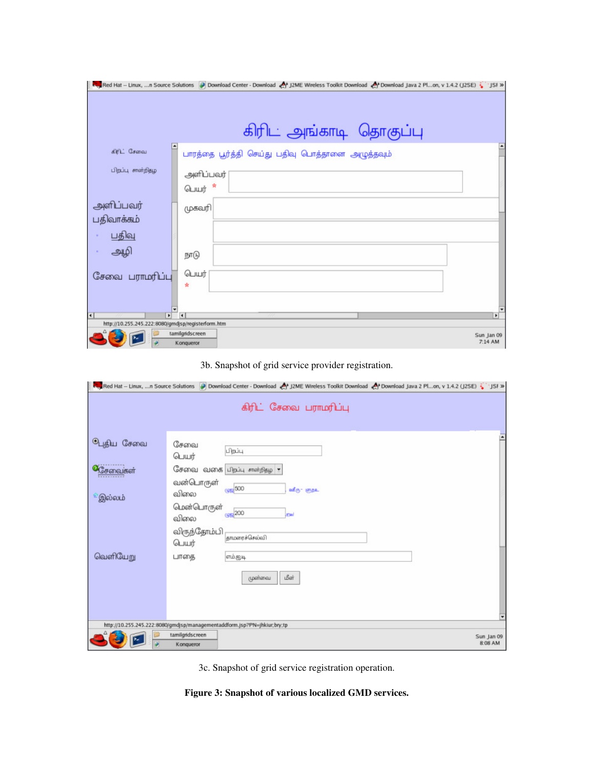|                                                    | « Pownload Java 2 Plon, v 1.4.2 (J2SE) ( JSF » [55 * JSF » [55] Download Center - Download ( P) J2ME Wireless Toolkit Download ( P) Download Java 2 Plon, v 1.4.2 (J2SE) |              |
|----------------------------------------------------|--------------------------------------------------------------------------------------------------------------------------------------------------------------------------|--------------|
|                                                    |                                                                                                                                                                          |              |
|                                                    | கிரிட அங்காடி தொகுப்பு                                                                                                                                                   |              |
| $\ddot{\phantom{1}}$<br>கிரிட் சேவை                | பாரத்தை பூர்த்தி செய்து பதிவு பொத்தானை அழுத்தவும்                                                                                                                        |              |
| பிறப்பு சான்றிதழ                                   | அளிப்பவர்                                                                                                                                                                |              |
|                                                    | பெயர் *                                                                                                                                                                  |              |
| அளிப்பவர்                                          | முகவரி                                                                                                                                                                   |              |
| பதிவாக்கம்                                         |                                                                                                                                                                          |              |
| பதிவு                                              |                                                                                                                                                                          |              |
| அழி                                                | நாடு                                                                                                                                                                     |              |
| சேவை பராமரிப்பு                                    | டெயர்                                                                                                                                                                    |              |
|                                                    | ×                                                                                                                                                                        |              |
|                                                    |                                                                                                                                                                          |              |
| $\overline{\bullet}$<br>$\overline{\bullet}$       |                                                                                                                                                                          | $\mathbf{r}$ |
| http://10.255.245.222:8080/gmdjsp/registerform.htm | tamilgridscreen                                                                                                                                                          | Sun Jan 09   |
|                                                    | Konqueror                                                                                                                                                                | 7:14 AM      |

## 3b. Snapshot of grid service provider registration.

|                                                    |                                                                                   | Ownload Center - Download Center - Download Center - Download Center - Download Center - Download Center - JSF >> JSF >> JSF >> JSF >> JSF >> JSF >> JSF > JSF > JSF + JSF + JSF + JSF + JSF + JSF + JSF + JSF + JSF + JSF +<br>கிரிட் சேவை பராமரிப்பு |                       |
|----------------------------------------------------|-----------------------------------------------------------------------------------|--------------------------------------------------------------------------------------------------------------------------------------------------------------------------------------------------------------------------------------------------------|-----------------------|
| <b><sup>ஒ</sup>புதிய சேவை</b><br>கேவைகள்<br>இல்லம் | சேவை<br>டெயர்<br>வன்பொருள்<br>விலை<br>மென்பொருள்<br>விலை<br>விருந்தோம்பி<br>டெயர் | பிறப்பு<br>சேவை வகை பிறப்பு சாள்நிதழ <b>ு</b><br>cos 500<br>வீரு- எந் <u>உ</u><br>(4% 200)<br>mal<br>தாமரைச்செல்வி                                                                                                                                     |                       |
| வெளியேறு                                           | பாகை<br>tamilgridscreen<br>Konqueror                                              | எம்.ஜடி<br>மீள்<br>முன்வை<br>http://10.255.245.222:80B0/gmdjsp/managementaddform.jsp?PN=jhkiur;bry;tp                                                                                                                                                  | Sun Jan 09<br>8:08 AM |

3c. Snapshot of grid service registration operation.

**Figure 3: Snapshot of various localized GMD services.**